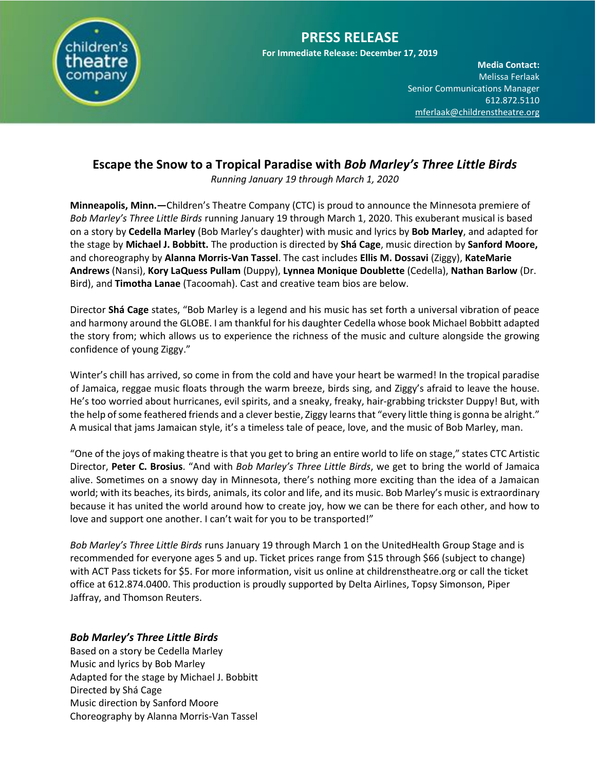

**Media Contact:**  Melissa Ferlaak Senior Communications Manager 612.872.5110 [mferlaak@childrenstheatre.org](mailto:mferlaak@childrenstheatre.org)

# **Escape the Snow to a Tropical Paradise with** *Bob Marley's Three Little Birds*

*Running January 19 through March 1, 2020*

**Minneapolis, Minn.—**Children's Theatre Company (CTC) is proud to announce the Minnesota premiere of *Bob Marley's Three Little Birds* running January 19 through March 1, 2020. This exuberant musical is based on a story by **Cedella Marley** (Bob Marley's daughter) with music and lyrics by **Bob Marley**, and adapted for the stage by **Michael J. Bobbitt.** The production is directed by **Shá Cage**, music direction by **Sanford Moore,**  and choreography by **Alanna Morris-Van Tassel**. The cast includes **Ellis M. Dossavi** (Ziggy), **KateMarie Andrews** (Nansi), **Kory LaQuess Pullam** (Duppy), **Lynnea Monique Doublette** (Cedella), **Nathan Barlow** (Dr. Bird), and **Timotha Lanae** (Tacoomah). Cast and creative team bios are below.

Director **Shá Cage** states, "Bob Marley is a legend and his music has set forth a universal vibration of peace and harmony around the GLOBE. I am thankful for his daughter Cedella whose book Michael Bobbitt adapted the story from; which allows us to experience the richness of the music and culture alongside the growing confidence of young Ziggy."

Winter's chill has arrived, so come in from the cold and have your heart be warmed! In the tropical paradise of Jamaica, reggae music floats through the warm breeze, birds sing, and Ziggy's afraid to leave the house. He's too worried about hurricanes, evil spirits, and a sneaky, freaky, hair-grabbing trickster Duppy! But, with the help of some feathered friends and a clever bestie, Ziggy learns that "every little thing is gonna be alright." A musical that jams Jamaican style, it's a timeless tale of peace, love, and the music of Bob Marley, man.

"One of the joys of making theatre is that you get to bring an entire world to life on stage," states CTC Artistic Director, **Peter C. Brosius**. "And with *Bob Marley's Three Little Birds*, we get to bring the world of Jamaica alive. Sometimes on a snowy day in Minnesota, there's nothing more exciting than the idea of a Jamaican world; with its beaches, its birds, animals, its color and life, and its music. Bob Marley's music is extraordinary because it has united the world around how to create joy, how we can be there for each other, and how to love and support one another. I can't wait for you to be transported!"

*Bob Marley's Three Little Birds* runs January 19 through March 1 on the UnitedHealth Group Stage and is recommended for everyone ages 5 and up. Ticket prices range from \$15 through \$66 (subject to change) with ACT Pass tickets for \$5. For more information, visit us online at childrenstheatre.org or call the ticket office at 612.874.0400. This production is proudly supported by Delta Airlines, Topsy Simonson, Piper Jaffray, and Thomson Reuters.

## *Bob Marley's Three Little Birds*

Based on a story be Cedella Marley Music and lyrics by Bob Marley Adapted for the stage by Michael J. Bobbitt Directed by Shá Cage Music direction by Sanford Moore Choreography by Alanna Morris-Van Tassel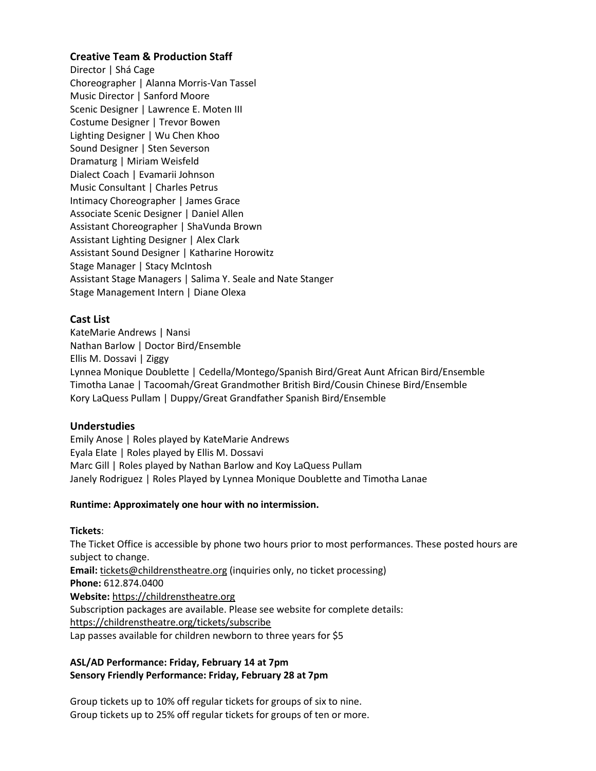## **Creative Team & Production Staff**

Director | Shá Cage Choreographer | Alanna Morris-Van Tassel Music Director | Sanford Moore Scenic Designer | Lawrence E. Moten III Costume Designer | Trevor Bowen Lighting Designer | Wu Chen Khoo Sound Designer | Sten Severson Dramaturg | Miriam Weisfeld Dialect Coach | Evamarii Johnson Music Consultant | Charles Petrus Intimacy Choreographer | James Grace Associate Scenic Designer | Daniel Allen Assistant Choreographer | ShaVunda Brown Assistant Lighting Designer | Alex Clark Assistant Sound Designer | Katharine Horowitz Stage Manager | Stacy McIntosh Assistant Stage Managers | Salima Y. Seale and Nate Stanger Stage Management Intern | Diane Olexa

### **Cast List**

KateMarie Andrews | Nansi Nathan Barlow | Doctor Bird/Ensemble Ellis M. Dossavi | Ziggy Lynnea Monique Doublette | Cedella/Montego/Spanish Bird/Great Aunt African Bird/Ensemble Timotha Lanae | Tacoomah/Great Grandmother British Bird/Cousin Chinese Bird/Ensemble Kory LaQuess Pullam | Duppy/Great Grandfather Spanish Bird/Ensemble

#### **Understudies**

Emily Anose | Roles played by KateMarie Andrews Eyala Elate | Roles played by Ellis M. Dossavi Marc Gill | Roles played by Nathan Barlow and Koy LaQuess Pullam Janely Rodriguez | Roles Played by Lynnea Monique Doublette and Timotha Lanae

#### **Runtime: Approximately one hour with no intermission.**

#### **Tickets**:

The Ticket Office is accessible by phone two hours prior to most performances. These posted hours are subject to change. **Email:** [tickets@childrenstheatre.org](mailto:tickets@childrenstheatre.org) (inquiries only, no ticket processing) **Phone:** 612.874.0400 **Website:** [https://childrenstheatre.org](https://childrenstheatre.org/) Subscription packages are available. Please see website for complete details: <https://childrenstheatre.org/tickets/subscribe> Lap passes available for children newborn to three years for \$5

### **ASL/AD Performance: Friday, February 14 at 7pm Sensory Friendly Performance: Friday, February 28 at 7pm**

Group tickets up to 10% off regular tickets for groups of six to nine. Group tickets up to 25% off regular tickets for groups of ten or more.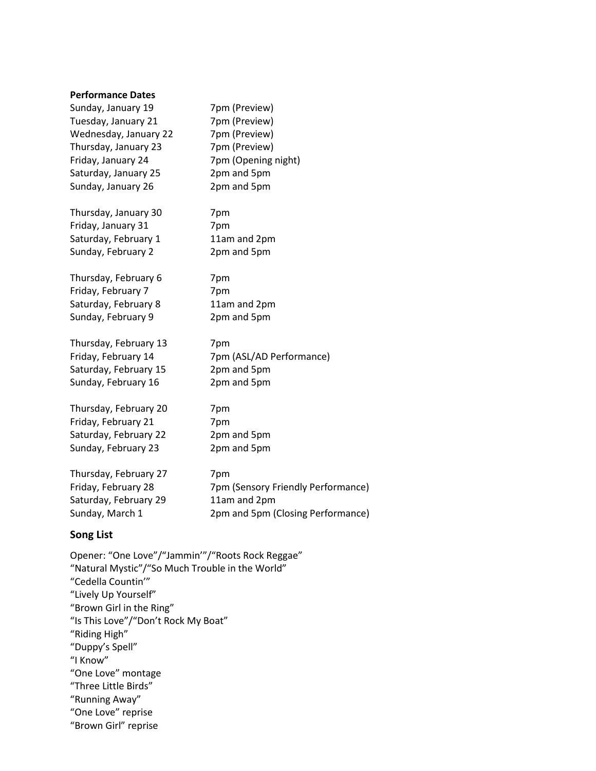#### **Performance Dates**

| Sunday, January 19    | 7pm (Preview)                      |
|-----------------------|------------------------------------|
| Tuesday, January 21   | 7pm (Preview)                      |
| Wednesday, January 22 | 7pm (Preview)                      |
| Thursday, January 23  | 7pm (Preview)                      |
| Friday, January 24    | 7pm (Opening night)                |
| Saturday, January 25  | 2pm and 5pm                        |
| Sunday, January 26    | 2pm and 5pm                        |
| Thursday, January 30  | 7pm                                |
| Friday, January 31    | 7pm                                |
| Saturday, February 1  | 11am and 2pm                       |
| Sunday, February 2    | 2pm and 5pm                        |
| Thursday, February 6  | 7pm                                |
| Friday, February 7    | 7pm                                |
| Saturday, February 8  | 11am and 2pm                       |
| Sunday, February 9    | 2pm and 5pm                        |
| Thursday, February 13 | 7pm                                |
| Friday, February 14   | 7pm (ASL/AD Performance)           |
| Saturday, February 15 | 2pm and 5pm                        |
| Sunday, February 16   | 2pm and 5pm                        |
| Thursday, February 20 | 7pm                                |
| Friday, February 21   | 7pm                                |
| Saturday, February 22 | 2pm and 5pm                        |
| Sunday, February 23   | 2pm and 5pm                        |
| Thursday, February 27 | 7pm                                |
| Friday, February 28   | 7pm (Sensory Friendly Performance) |
| Saturday, February 29 | 11am and 2pm                       |
| Sunday, March 1       | 2pm and 5pm (Closing Performance)  |

## **Song List**

Opener: "One Love"/"Jammin'"/"Roots Rock Reggae" "Natural Mystic"/"So Much Trouble in the World" "Cedella Countin'" "Lively Up Yourself" "Brown Girl in the Ring" "Is This Love"/"Don't Rock My Boat" "Riding High" "Duppy's Spell" "I Know" "One Love" montage "Three Little Birds" "Running Away" "One Love" reprise "Brown Girl" reprise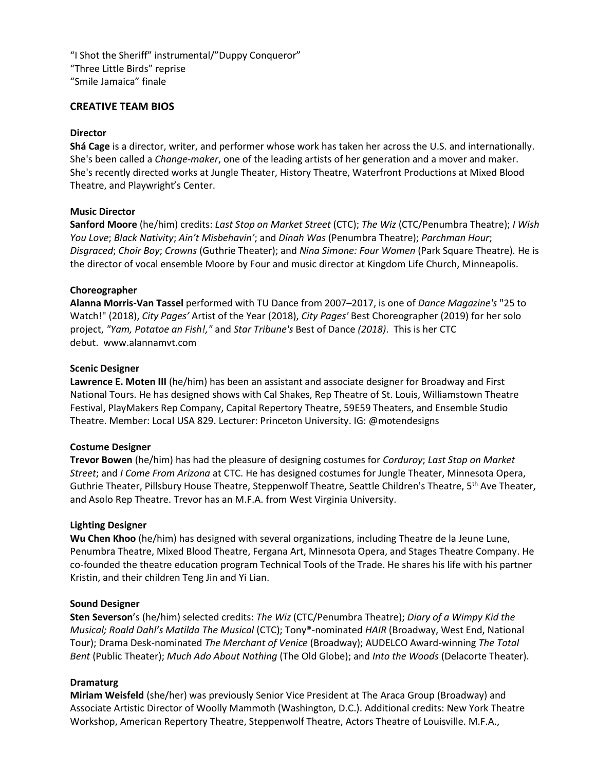"I Shot the Sheriff" instrumental/"Duppy Conqueror" "Three Little Birds" reprise "Smile Jamaica" finale

#### **CREATIVE TEAM BIOS**

#### **Director**

**Shá Cage** is a director, writer, and performer whose work has taken her across the U.S. and internationally. She's been called a *Change-maker*, one of the leading artists of her generation and a mover and maker. She's recently directed works at Jungle Theater, History Theatre, Waterfront Productions at Mixed Blood Theatre, and Playwright's Center.

#### **Music Director**

**Sanford Moore** (he/him) credits: *Last Stop on Market Street* (CTC); *The Wiz* (CTC/Penumbra Theatre); *I Wish You Love*; *Black Nativity*; *Ain't Misbehavin'*; and *Dinah Was* (Penumbra Theatre); *Parchman Hour*; *Disgraced*; *Choir Boy*; *Crowns* (Guthrie Theater); and *Nina Simone: Four Women* (Park Square Theatre)*.* He is the director of vocal ensemble Moore by Four and music director at Kingdom Life Church, Minneapolis.

#### **Choreographer**

**Alanna Morris-Van Tassel** performed with TU Dance from 2007–2017, is one of *Dance Magazine's* "25 to Watch!" (2018), *City Pages'* Artist of the Year (2018), *City Pages'* Best Choreographer (2019) for her solo project, *"Yam, Potatoe an Fish!,"* and *Star Tribune's* Best of Dance *(2018)*. This is her CTC debut. www.alannamvt.com

#### **Scenic Designer**

**Lawrence E. Moten III** (he/him) has been an assistant and associate designer for Broadway and First National Tours. He has designed shows with Cal Shakes, Rep Theatre of St. Louis, Williamstown Theatre Festival, PlayMakers Rep Company, Capital Repertory Theatre, 59E59 Theaters, and Ensemble Studio Theatre. Member: Local USA 829. Lecturer: Princeton University. IG: @motendesigns

#### **Costume Designer**

**Trevor Bowen** (he/him) has had the pleasure of designing costumes for *Corduroy*; *Last Stop on Market Street*; and *I Come From Arizona* at CTC. He has designed costumes for Jungle Theater, Minnesota Opera, Guthrie Theater, Pillsbury House Theatre, Steppenwolf Theatre, Seattle Children's Theatre, 5th Ave Theater, and Asolo Rep Theatre. Trevor has an M.F.A. from West Virginia University.

#### **Lighting Designer**

**Wu Chen Khoo** (he/him) has designed with several organizations, including Theatre de la Jeune Lune, Penumbra Theatre, Mixed Blood Theatre, Fergana Art, Minnesota Opera, and Stages Theatre Company. He co-founded the theatre education program Technical Tools of the Trade. He shares his life with his partner Kristin, and their children Teng Jin and Yi Lian.

#### **Sound Designer**

**Sten Severson**'s (he/him) selected credits: *The Wiz* (CTC/Penumbra Theatre); *Diary of a Wimpy Kid the Musical; Roald Dahl's Matilda The Musical* (CTC); Tony®-nominated *HAIR* (Broadway, West End, National Tour); Drama Desk-nominated *The Merchant of Venice* (Broadway); AUDELCO Award-winning *The Total Bent* (Public Theater); *Much Ado About Nothing* (The Old Globe); and *Into the Woods* (Delacorte Theater).

#### **Dramaturg**

**Miriam Weisfeld** (she/her) was previously Senior Vice President at The Araca Group (Broadway) and Associate Artistic Director of Woolly Mammoth (Washington, D.C.). Additional credits: New York Theatre Workshop, American Repertory Theatre, Steppenwolf Theatre, Actors Theatre of Louisville. M.F.A.,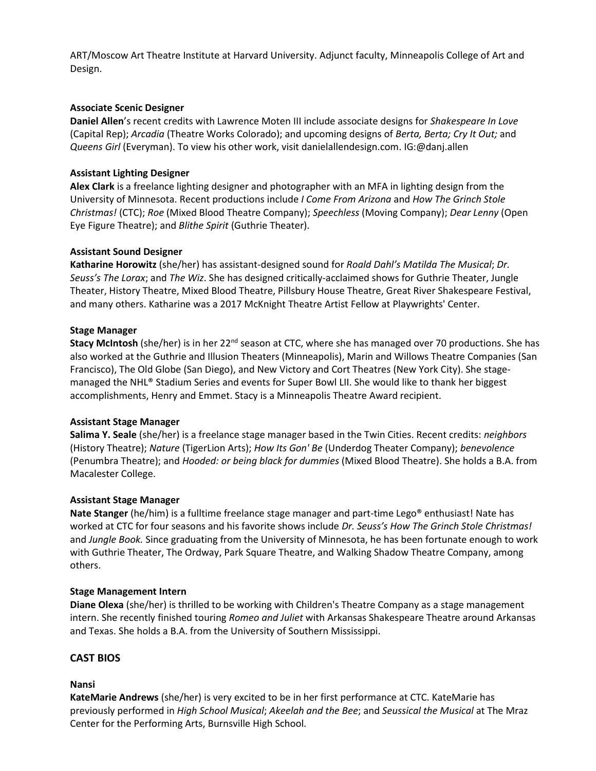ART/Moscow Art Theatre Institute at Harvard University. Adjunct faculty, Minneapolis College of Art and Design.

#### **Associate Scenic Designer**

**Daniel Allen**'s recent credits with Lawrence Moten III include associate designs for *Shakespeare In Love* (Capital Rep); *Arcadia* (Theatre Works Colorado); and upcoming designs of *Berta, Berta; Cry It Out;* and *Queens Girl* (Everyman). To view his other work, visit danielallendesign.com. IG:@danj.allen

### **Assistant Lighting Designer**

**Alex Clark** is a freelance lighting designer and photographer with an MFA in lighting design from the University of Minnesota. Recent productions include *I Come From Arizona* and *How The Grinch Stole Christmas!* (CTC); *Roe* (Mixed Blood Theatre Company); *Speechless* (Moving Company); *Dear Lenny* (Open Eye Figure Theatre); and *Blithe Spirit* (Guthrie Theater).

#### **Assistant Sound Designer**

**Katharine Horowitz** (she/her) has assistant-designed sound for *Roald Dahl's Matilda The Musical*; *Dr. Seuss's The Lorax*; and *The Wiz*. She has designed critically-acclaimed shows for Guthrie Theater, Jungle Theater, History Theatre, Mixed Blood Theatre, Pillsbury House Theatre, Great River Shakespeare Festival, and many others. Katharine was a 2017 McKnight Theatre Artist Fellow at Playwrights' Center.

#### **Stage Manager**

**Stacy McIntosh** (she/her) is in her 22<sup>nd</sup> season at CTC, where she has managed over 70 productions. She has also worked at the Guthrie and Illusion Theaters (Minneapolis), Marin and Willows Theatre Companies (San Francisco), The Old Globe (San Diego), and New Victory and Cort Theatres (New York City). She stagemanaged the NHL® Stadium Series and events for Super Bowl LII. She would like to thank her biggest accomplishments, Henry and Emmet. Stacy is a Minneapolis Theatre Award recipient.

#### **Assistant Stage Manager**

**Salima Y. Seale** (she/her) is a freelance stage manager based in the Twin Cities. Recent credits: *neighbors* (History Theatre); *Nature* (TigerLion Arts); *How Its Gon' Be* (Underdog Theater Company); *benevolence* (Penumbra Theatre); and *Hooded: or being black for dummies* (Mixed Blood Theatre). She holds a B.A. from Macalester College.

#### **Assistant Stage Manager**

**Nate Stanger** (he/him) is a fulltime freelance stage manager and part-time Lego® enthusiast! Nate has worked at CTC for four seasons and his favorite shows include *Dr. Seuss's How The Grinch Stole Christmas!* and *Jungle Book.* Since graduating from the University of Minnesota, he has been fortunate enough to work with Guthrie Theater, The Ordway, Park Square Theatre, and Walking Shadow Theatre Company, among others.

#### **Stage Management Intern**

**Diane Olexa** (she/her) is thrilled to be working with Children's Theatre Company as a stage management intern. She recently finished touring *Romeo and Juliet* with Arkansas Shakespeare Theatre around Arkansas and Texas. She holds a B.A. from the University of Southern Mississippi.

## **CAST BIOS**

#### **Nansi**

**KateMarie Andrews** (she/her) is very excited to be in her first performance at CTC. KateMarie has previously performed in *High School Musical*; *Akeelah and the Bee*; and *Seussical the Musical* at The Mraz Center for the Performing Arts, Burnsville High School.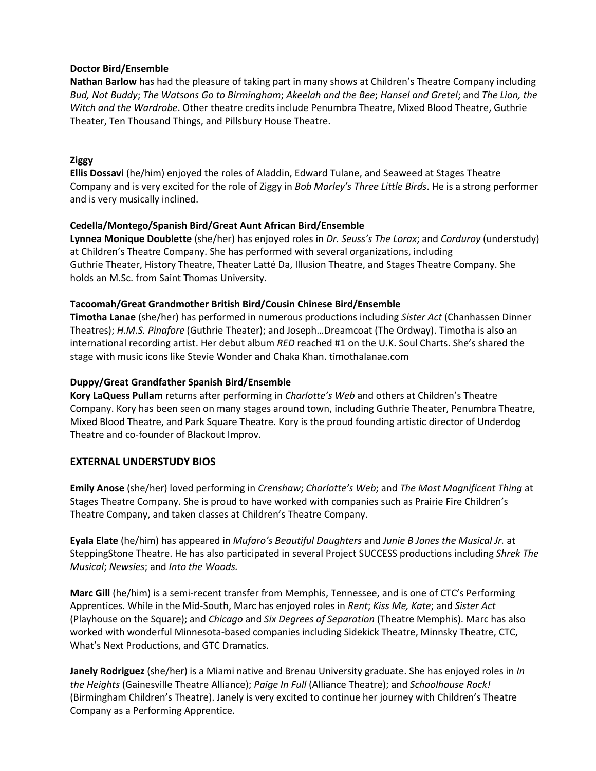#### **Doctor Bird/Ensemble**

Nathan Barlow has had the pleasure of taking part in many shows at Children's Theatre Company including 612.872.5110 *Bud, Not Buddy*; *The Watsons Go to Birmingham*; *Akeelah and the Bee*; *Hansel and Gretel*; and *The Lion, the*  Witch and the Wardrobe. Other theatre credits include Penumbra Theatre, Mixed Blood Theatre, Guthrie Theater, Ten Thousand Things, and Pillsbury House Theatre.

#### **Ziggy**

**Ellis Dossavi** (he/him) enjoyed the roles of Aladdin, Edward Tulane, and Seaweed at Stages Theatre Company and is very excited for the role of Ziggy in *Bob Marley's Three Little Birds*. He is a strong performer and is very musically inclined.

#### **Cedella/Montego/Spanish Bird/Great Aunt African Bird/Ensemble**

**Lynnea Monique Doublette** (she/her) has enjoyed roles in *Dr. Seuss's The Lorax*; and *Corduroy* (understudy) at Children's Theatre Company. She has performed with several organizations, including Guthrie Theater, History Theatre, Theater Latté Da, Illusion Theatre, and Stages Theatre Company. She holds an M.Sc. from Saint Thomas University.

#### **Tacoomah/Great Grandmother British Bird/Cousin Chinese Bird/Ensemble**

**Timotha Lanae** (she/her) has performed in numerous productions including *Sister Act* (Chanhassen Dinner Theatres); *H.M.S. Pinafore* (Guthrie Theater); and Joseph…Dreamcoat (The Ordway). Timotha is also an international recording artist. Her debut album *RED* reached #1 on the U.K. Soul Charts. She's shared the stage with music icons like Stevie Wonder and Chaka Khan. timothalanae.com

#### **Duppy/Great Grandfather Spanish Bird/Ensemble**

**Kory LaQuess Pullam** returns after performing in *Charlotte's Web* and others at Children's Theatre Company. Kory has been seen on many stages around town, including Guthrie Theater, Penumbra Theatre, Mixed Blood Theatre, and Park Square Theatre. Kory is the proud founding artistic director of Underdog Theatre and co-founder of Blackout Improv.

## **EXTERNAL UNDERSTUDY BIOS**

**Emily Anose** (she/her) loved performing in *Crenshaw*; *Charlotte's Web*; and *The Most Magnificent Thing* at Stages Theatre Company. She is proud to have worked with companies such as Prairie Fire Children's Theatre Company, and taken classes at Children's Theatre Company.

**Eyala Elate** (he/him) has appeared in *Mufaro's Beautiful Daughters* and *Junie B Jones the Musical Jr.* at SteppingStone Theatre. He has also participated in several Project SUCCESS productions including *Shrek The Musical*; *Newsies*; and *Into the Woods.*

**Marc Gill** (he/him) is a semi-recent transfer from Memphis, Tennessee, and is one of CTC's Performing Apprentices. While in the Mid-South, Marc has enjoyed roles in *Rent*; *Kiss Me, Kate*; and *Sister Act* (Playhouse on the Square); and *Chicago* and *Six Degrees of Separation* (Theatre Memphis). Marc has also worked with wonderful Minnesota-based companies including Sidekick Theatre, Minnsky Theatre, CTC, What's Next Productions, and GTC Dramatics.

**Janely Rodriguez** (she/her) is a Miami native and Brenau University graduate. She has enjoyed roles in *In the Heights* (Gainesville Theatre Alliance); *Paige In Full* (Alliance Theatre); and *Schoolhouse Rock!* (Birmingham Children's Theatre). Janely is very excited to continue her journey with Children's Theatre Company as a Performing Apprentice.